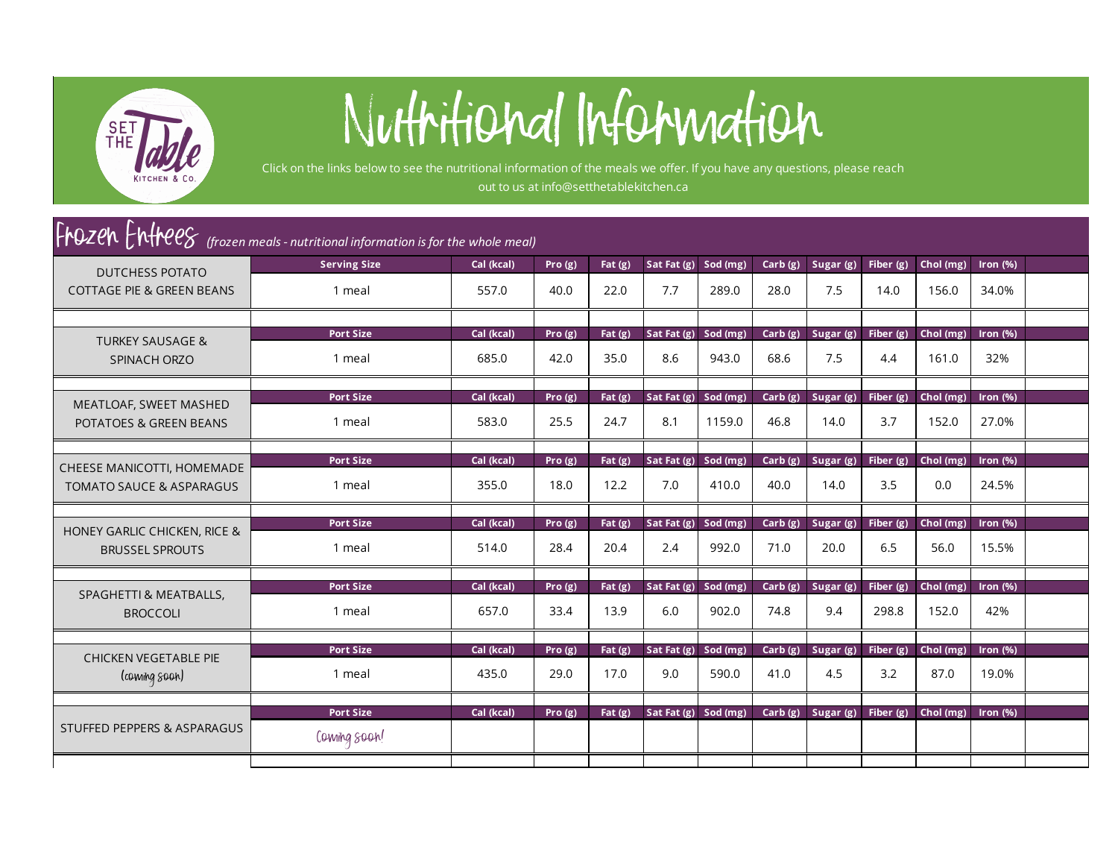

## Nutritional Information

Click on the links below to see the nutritional information of the meals we offer. If you have any questions, please reach out to us at info@setthetablekitchen.ca

## F**rOZCh** Entreeg *(frozen meals - nutritional information is for the whole meal)*

| <b>DUTCHESS POTATO</b>                                            | <b>Serving Size</b>        | Cal (kcal)          | Pro $(g)$         | Fat $(g)$         | Sat Fat $(g)$               | Sod (mg)          | Carb(g)         | Sugar $(g)$       | Fiber $(g)$          | Chol (mg)          | Iron $(% )$          |  |
|-------------------------------------------------------------------|----------------------------|---------------------|-------------------|-------------------|-----------------------------|-------------------|-----------------|-------------------|----------------------|--------------------|----------------------|--|
| <b>COTTAGE PIE &amp; GREEN BEANS</b>                              | 1 meal                     | 557.0               | 40.0              | 22.0              | 7.7                         | 289.0             | 28.0            | 7.5               | 14.0                 | 156.0              | 34.0%                |  |
|                                                                   |                            |                     |                   |                   |                             |                   |                 |                   |                      |                    |                      |  |
| <b>TURKEY SAUSAGE &amp;</b>                                       | <b>Port Size</b>           | Cal (kcal)          | Pro $(g)$         | Fat $(g)$         | Sat Fat $(g)$               | Sod $(mg)$        | Carb(g)         | Sugar (g)         | Fiber $(g)$          | Chol (mg)          | Iron $(% )$          |  |
| SPINACH ORZO                                                      | 1 meal                     | 685.0               | 42.0              | 35.0              | 8.6                         | 943.0             | 68.6            | 7.5               | 4.4                  | 161.0              | 32%                  |  |
|                                                                   | <b>Port Size</b>           | Cal (kcal)          | Pro(g)            | Fat $(g)$         | Sat Fat $(g)$               | Sod (mg)          | Carb(g)         | Sugar (g)         | Fiber $(g)$          | Chol (mg)          | Iron $(% )$          |  |
| MEATLOAF, SWEET MASHED<br><b>POTATOES &amp; GREEN BEANS</b>       | 1 meal                     | 583.0               | 25.5              | 24.7              | 8.1                         | 1159.0            | 46.8            | 14.0              | 3.7                  | 152.0              | 27.0%                |  |
|                                                                   | <b>Port Size</b>           | Cal (kcal)          | Pro $(g)$         | Fat $(g)$         | Sat Fat $(g)$               | Sod (mg)          | Carb(g)         | Sugar $(g)$       | Fiber $(g)$          | Chol (mg)          | Iron $(% )$          |  |
| CHEESE MANICOTTI, HOMEMADE<br><b>TOMATO SAUCE &amp; ASPARAGUS</b> | 1 meal                     | 355.0               | 18.0              | 12.2              | 7.0                         | 410.0             | 40.0            | 14.0              | 3.5                  | 0.0                | 24.5%                |  |
|                                                                   |                            |                     |                   |                   |                             |                   |                 |                   |                      |                    |                      |  |
| <b>HONEY GARLIC CHICKEN, RICE &amp;</b><br><b>BRUSSEL SPROUTS</b> | <b>Port Size</b><br>1 meal | Cal (kcal)<br>514.0 | Pro(g)<br>28.4    | Fat $(g)$<br>20.4 | Sat Fat (g) Sod (mg)<br>2.4 | 992.0             | Carb(g)<br>71.0 | Sugar (g)<br>20.0 | Fiber $(g)$<br>6.5   | Chol (mg)<br>56.0  | Iron $(% )$<br>15.5% |  |
|                                                                   |                            |                     |                   |                   |                             |                   |                 |                   |                      |                    |                      |  |
| SPAGHETTI & MEATBALLS,<br><b>BROCCOLI</b>                         | <b>Port Size</b><br>1 meal | Cal (kcal)<br>657.0 | Pro $(g)$<br>33.4 | Fat $(g)$<br>13.9 | Sat Fat $(g)$<br>6.0        | Sod (mg)<br>902.0 | Carb(g)<br>74.8 | Sugar (g)<br>9.4  | Fiber $(g)$<br>298.8 | Chol (mg)<br>152.0 | Iron $(% )$<br>42%   |  |
|                                                                   |                            |                     |                   |                   |                             |                   |                 |                   |                      |                    |                      |  |
| CHICKEN VEGETABLE PIE                                             | <b>Port Size</b>           | Cal (kcal)          | Pro $(g)$         | Fat(2)            | Sat Fat $(g)$               | Sod (mg)          | Carb(g)         | Sugar (g)         | Fiber $(g)$          | Chol (mg)          | Iron $(% )$          |  |
| (coming soon)                                                     | 1 meal                     | 435.0               | 29.0              | 17.0              | 9.0                         | 590.0             | 41.0            | 4.5               | 3.2                  | 87.0               | 19.0%                |  |
|                                                                   |                            |                     |                   |                   |                             |                   |                 |                   |                      |                    |                      |  |
| <b>STUFFED PEPPERS &amp; ASPARAGUS</b>                            | <b>Port Size</b>           | Cal (kcal)          | Pro $(g)$         | Fat $(g)$         | Sat Fat $(g)$               | Sod (mg)          | Carb(g)         | Sugar $(g)$       | Fiber $(g)$          | Chol $(mg)$        | Iron $(% )$          |  |
|                                                                   | Coming soon!               |                     |                   |                   |                             |                   |                 |                   |                      |                    |                      |  |
|                                                                   |                            |                     |                   |                   |                             |                   |                 |                   |                      |                    |                      |  |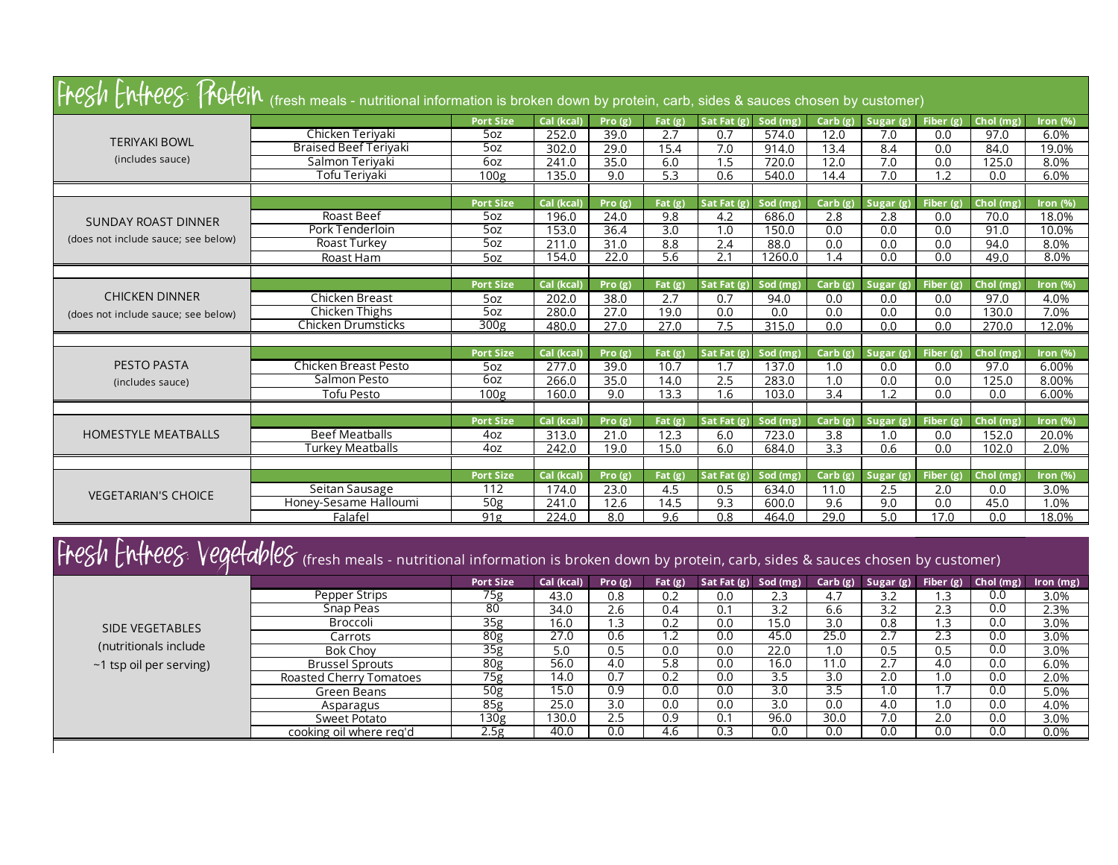| Fresh Entrees: Trotein (fresh meals - nutritional information is broken down by protein, carb, sides & sauces chosen by customer) |                              |                  |            |        |           |               |          |                  |             |             |           |             |
|-----------------------------------------------------------------------------------------------------------------------------------|------------------------------|------------------|------------|--------|-----------|---------------|----------|------------------|-------------|-------------|-----------|-------------|
|                                                                                                                                   |                              | <b>Port Size</b> | Cal (kcal) | Pro(g) | Fat $(g)$ | Sat Fat(g)    | Sod (mg) | Carb $(g)$       | Sugar(g)    | Fiber $(g)$ | Chol (mg) | Iron $(% )$ |
| <b>TERIYAKI BOWL</b>                                                                                                              | Chicken Teriyaki             | 5oz              | 252.0      | 39.0   | 2.7       | 0.7           | 574.0    | 12.0             | 7.0         | 0.0         | 97.0      | 6.0%        |
|                                                                                                                                   | <b>Braised Beef Teriyaki</b> | 50z              | 302.0      | 29.0   | 15.4      | 7.0           | 914.0    | 13.4             | 8.4         | 0.0         | 84.0      | 19.0%       |
| (includes sauce)                                                                                                                  | Salmon Teriyaki              | 6oz              | 241.0      | 35.0   | 6.0       | 1.5           | 720.0    | 12.0             | 7.0         | 0.0         | 125.0     | 8.0%        |
|                                                                                                                                   | Tofu Terivaki                | 100g             | 135.0      | 9.0    | 5.3       | 0.6           | 540.0    | 14.4             | 7.0         | 1.2         | 0.0       | 6.0%        |
|                                                                                                                                   |                              |                  |            |        |           |               |          |                  |             |             |           |             |
|                                                                                                                                   |                              | <b>Port Size</b> | Cal (kcal) | Pro(g) | Fat $(g)$ | Sat Fat (g)   | Sod (mg) | Carb(g)          | Sugar $(g)$ | Fiber $(g)$ | Chol (mg) | Iron $(% )$ |
| <b>SUNDAY ROAST DINNER</b>                                                                                                        | Roast Beef                   | 5oz              | 196.0      | 24.0   | 9.8       | 4.2           | 686.0    | 2.8              | 2.8         | 0.0         | 70.0      | 18.0%       |
| (does not include sauce; see below)                                                                                               | Pork Tenderloin              | 5oz              | 153.0      | 36.4   | 3.0       | 1.0           | 150.0    | 0.0              | 0.0         | 0.0         | 91.0      | 10.0%       |
|                                                                                                                                   | Roast Turkey                 | 50z              | 211.0      | 31.0   | 8.8       | 2.4           | 88.0     | 0.0              | 0.0         | 0.0         | 94.0      | 8.0%        |
|                                                                                                                                   | Roast Ham                    | 5oz              | 154.0      | 22.0   | 5.6       | 2.1           | 1260.0   | 1.4              | 0.0         | 0.0         | 49.0      | 8.0%        |
|                                                                                                                                   |                              |                  |            |        |           |               |          |                  |             |             |           |             |
|                                                                                                                                   |                              | <b>Port Size</b> | Cal (kcal) | Pro(g) | Fat $(g)$ | Sat Fat (g    | Sod (mg) | Carb(g)          | Sugar(g)    | Fiber $(g)$ | Chol (mg) | Iron $(\%)$ |
| <b>CHICKEN DINNER</b>                                                                                                             | Chicken Breast               | 5oz              | 202.0      | 38.0   | 2.7       | 0.7           | 94.0     | 0.0              | 0.0         | 0.0         | 97.0      | 4.0%        |
| (does not include sauce; see below)                                                                                               | Chicken Thighs               | 50z              | 280.0      | 27.0   | 19.0      | 0.0           | 0.0      | 0.0              | 0.0         | 0.0         | 130.0     | 7.0%        |
|                                                                                                                                   | Chicken Drumsticks           | 300 <sub>g</sub> | 480.0      | 27.0   | 27.0      | 7.5           | 315.0    | 0.0              | 0.0         | 0.0         | 270.0     | $12.0\%$    |
|                                                                                                                                   |                              |                  |            |        |           |               |          |                  |             |             |           |             |
|                                                                                                                                   |                              | <b>Port Size</b> | Cal (kcal) | Pro(g) | Fat $(g)$ | Sat Fat (g)   | Sod (mg) | Carb(g)          | Sugar (g)   | Fiber $(g)$ | Chol (mg) | Iron $(% )$ |
| PESTO PASTA                                                                                                                       | Chicken Breast Pesto         | 5oz              | 277.0      | 39.0   | 10.7      | 1.7           | 137.0    | 1.0              | 0.0         | 0.0         | 97.0      | 6.00%       |
| (includes sauce)                                                                                                                  | Salmon Pesto                 | 60z              | 266.0      | 35.0   | 14.0      | 2.5           | 283.0    | 1.0              | 0.0         | 0.0         | 125.0     | 8.00%       |
|                                                                                                                                   | <b>Tofu Pesto</b>            | 100g             | 160.0      | 9.0    | 13.3      | 1.6           | 103.0    | $\overline{3.4}$ | 12          | 0.0         | 0.0       | 6.00%       |
|                                                                                                                                   |                              |                  |            |        |           |               |          |                  |             |             |           |             |
|                                                                                                                                   |                              | <b>Port Size</b> | Cal (kcal) | Pro(g) | Fat(2)    | Sat Fat $(g)$ | Sod (mg) | $Carb(g)$        | Sugar (g)   | Fiber $(g)$ | Chol (mg) | Iron $(% )$ |
| <b>HOMESTYLE MEATBALLS</b>                                                                                                        | <b>Beef Meatballs</b>        | 4oz              | 313.0      | 21.0   | 12.3      | 6.0           | 723.0    | 3.8              | 1.0         | 0.0         | 152.0     | 20.0%       |
|                                                                                                                                   | Turkey Meatballs             | 4oz              | 242.0      | 19.0   | 15.0      | 6.0           | 684.0    | 3.3              | 0.6         | 0.0         | 102.0     | 2.0%        |
|                                                                                                                                   |                              |                  |            |        |           |               |          |                  |             |             |           |             |
|                                                                                                                                   |                              | <b>Port Size</b> | Cal (kcal) | Pro(g) | Fat $(g)$ | Sat Fat (g    | Sod (mg) | Carb(g)          | Sugar (g)   | Fiber $(g)$ | Chol (mg) | Iron $(\%)$ |
| <b>VEGETARIAN'S CHOICE</b>                                                                                                        | Seitan Sausage               | 112              | 174.0      | 23.0   | 4.5       | 0.5           | 634.0    | 11.0             | 2.5         | 2.0         | 0.0       | 3.0%        |
|                                                                                                                                   | Honey-Sesame Halloumi        | 50 <sub>g</sub>  | 241.0      | 12.6   | 14.5      | 9.3           | 600.0    | 9.6              | 9.0         | 0.0         | 45.0      | 1.0%        |
|                                                                                                                                   | Falafel                      | 91g              | 224.0      | 8.0    | 9.6       | 0.8           | 464.0    | 29.0             | 5.0         | 17.0        | 0.0       | 18.0%       |

## Fresh Entrees: Vegetables (fresh meals - nutritional information is broken down by protein, carb, sides & sauces chosen by customer)

|                            |                         | <b>Port Size</b> | Cal (kcal) | Pro(g) | Fat $(g)$ | Sat Fat (g) Sod (mg) |      | Carb(g) | Sugar (g)            | Fiber $(g)$ | Chol (mg) | Iron (mg) |
|----------------------------|-------------------------|------------------|------------|--------|-----------|----------------------|------|---------|----------------------|-------------|-----------|-----------|
| Pepper Strips<br>Snap Peas |                         | 75g              | 43.0       | 0.8    | 0.2       | 0.0                  | 2.3  | 4.7     | 3.2                  | .3          | 0.0       | 3.0%      |
|                            |                         | 80               | 34.0       | 2.6    | 0.4       | 0.1                  | 3.2  | 6.6     | 3.2                  | 2.3         | 0.0       | 2.3%      |
| <b>SIDE VEGETABLES</b>     | Broccoli                | 35g              | 16.0       | 1.3    | 0.2       | 0.0                  | 15.0 | 3.0     | 0.8                  | $\cdot$ .3  | 0.0       | 3.0%      |
|                            | Carrots                 | 80 <sub>g</sub>  | 27.0       | 0.6    | 1.2       | 0.0                  | 45.0 | 25.0    | $\mathcal{F}$<br>2.7 | 2.3         | 0.0       | 3.0%      |
| (nutritionals include      | Bok Chov                | 35 <sub>g</sub>  | 5.0        | 0.5    | 0.0       | 0.0                  | 22.0 | 1.0     | 0.5                  | 0.5         | 0.0       | 3.0%      |
| ~1 tsp oil per serving)    | <b>Brussel Sprouts</b>  | 80g              | 56.0       | 4.0    | 5.8       | 0.0                  | 16.0 | 11.0    | 2.7                  | 4.0         | 0.0       | 6.0%      |
|                            | Roasted Cherry Tomatoes | 75g              | 14.0       | 0.7    | 0.2       | 0.0                  | 3.5  | 3.0     | 2.0                  | 1.0         | 0.0       | 2.0%      |
|                            | Green Beans             | 50 <sub>g</sub>  | 15.0       | 0.9    | 0.0       | 0.0                  | 3.0  | 3.5     | 1.0                  | $\cdot$     | 0.0       | 5.0%      |
|                            | Asparagus               | 85g              | 25.0       | 3.0    | 0.0       | 0.0                  | 3.0  | 0.0     | 4.0                  | 1.0         | 0.0       | 4.0%      |
|                            | Sweet Potato            | 130g             | 130.0      | 2.5    | 0.9       | 0.1                  | 96.0 | 30.0    | 7.0                  | 2.0         | 0.0       | 3.0%      |
|                            | cooking oil where reg'd | 2.5g             | 40.0       | 0.0    | 4.6       | 0.3                  | 0.0  | 0.0     | 0.0                  | 0.0         | 0.0       | 0.0%      |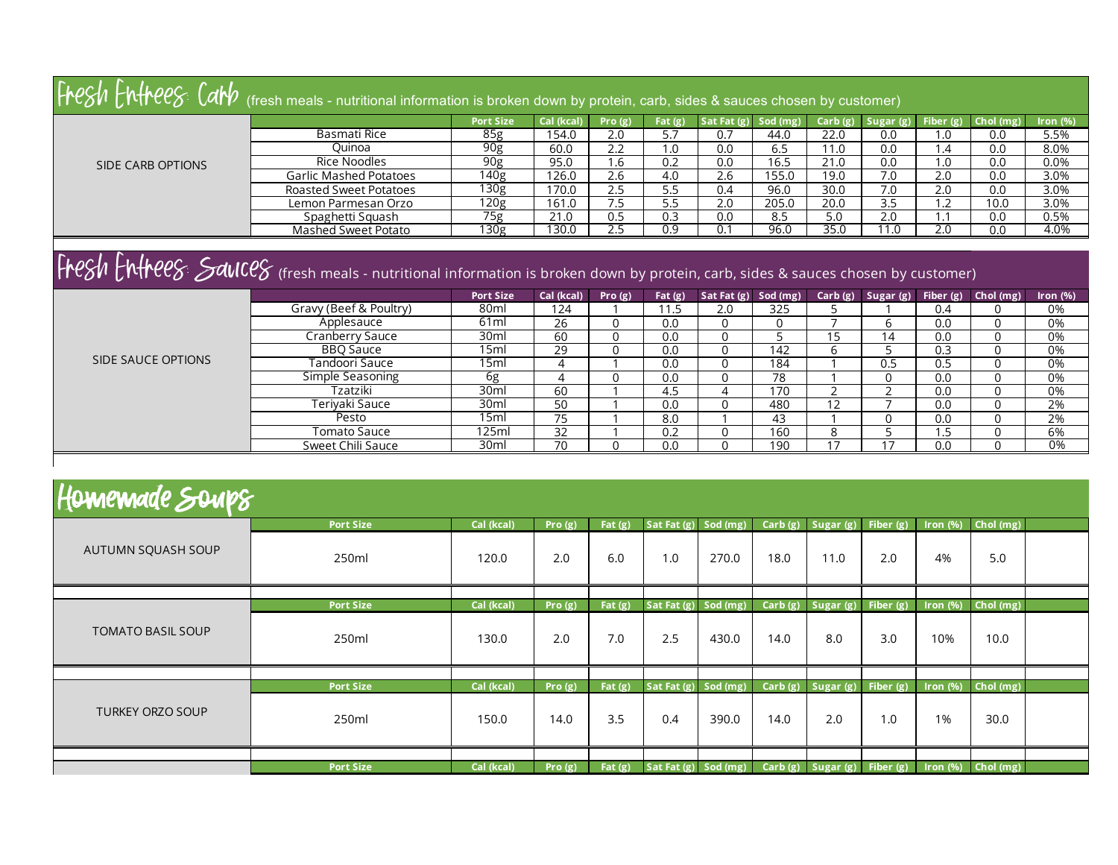|                    | $F_P$ $F_P$ $F_P$ $F_P$ $F_P$ $F_P$ $F_P$ (fresh meals - nutritional information is broken down by protein, carb, sides & sauces chosen by customer) |                  |                |           |            |                          |          |         |             |               |          |                                 |
|--------------------|------------------------------------------------------------------------------------------------------------------------------------------------------|------------------|----------------|-----------|------------|--------------------------|----------|---------|-------------|---------------|----------|---------------------------------|
|                    |                                                                                                                                                      | <b>Port Size</b> | Cal (kcal)     | Pro $(g)$ | Fat $(g)$  | Sat Fat $(g)$            | Sod (mg) | Carb(g) | Sugar $(g)$ | Fiber $(g)$   | Chol(mg) | Iron $(% )$                     |
|                    | Basmati Rice                                                                                                                                         | 85g              | 154.0          | 2.0       | 5.7        | 0.7                      | 44.0     | 22.0    | 0.0         | 0.1           | 0.0      | 5.5%                            |
|                    | Ouinoa                                                                                                                                               | 90 <sub>g</sub>  | 60.0           | 2.2       | 1.0        | 0.0                      | 6.5      | 11.0    | 0.0         | .4            | 0.0      | 8.0%                            |
| SIDE CARB OPTIONS  | Rice Noodles                                                                                                                                         | 90 <sub>g</sub>  | 95.0           | 1.6       | 0.2        | 0.0                      | 16.5     | 21.0    | 0.0         | 1.0           | 0.0      | 0.0%                            |
|                    | Garlic Mashed Potatoes                                                                                                                               | 140 <sub>g</sub> | 126.0          | 2.6       | 4.0        | 2.6                      | 155.0    | 19.0    | 7.0         | 2.0           | 0.0      | 3.0%                            |
|                    | Roasted Sweet Potatoes                                                                                                                               | 130g             | 170.0          | 2.5       | 5.5        | 0.4                      | 96.0     | 30.0    | 7.0         | 2.0           | 0.0      | 3.0%                            |
|                    | Lemon Parmesan Orzo                                                                                                                                  | 120g             | 161.0          | 7.5       | 5.5        | 2.0                      | 205.0    | 20.0    | 3.5         | 1.2           | 10.0     | 3.0%                            |
|                    | Spaghetti Squash                                                                                                                                     | 75g              | 21.0           | 0.5       | 0.3        | 0.0                      | 8.5      | 5.0     | 2.0         | $\cdot$ 1     | 0.0      | 0.5%                            |
|                    | Mashed Sweet Potato                                                                                                                                  | 130 <sub>g</sub> | 130.0          | 2.5       | 0.9        | 0.1                      | 96.0     | 35.0    | 11.0        | 2.0           | 0.0      | 4.0%                            |
|                    | Fregh Entreeg Sauceg (fresh meals - nutritional information is broken down by protein, carb, sides & sauces chosen by customer)                      |                  |                |           |            |                          |          |         |             |               |          |                                 |
|                    |                                                                                                                                                      | <b>Port Size</b> | Cal (kcal)     | Pro $(g)$ | Fat $(g)$  | Sat Fat $(g)$ Sod $(mg)$ |          | Carb(g) | Sugar(g)    | Fiber $(g)$   | Chol(mg) | Iron $(\%)$                     |
|                    | Gravy (Beef & Poultry)                                                                                                                               | 80ml             | 124            |           | 11.5       | 2.0                      | 325      |         |             | 0.4           |          | 0%                              |
|                    | Applesauce                                                                                                                                           | 61 <sub>ml</sub> | 26             | 0         | 0.0        | 0                        | $\Omega$ | ⇁       | 6           | 0.0           | $\Omega$ | 0%                              |
|                    | Cranberry Sauce                                                                                                                                      | 30ml             | 60             | 0         | 0.0        | 0                        | כ        | 15      | 14          | 0.0           | 0        | 0%                              |
|                    | <b>BBO Sauce</b>                                                                                                                                     | 15ml             | 29             | $\Omega$  | 0.0        | 0                        | 142      | 6       |             | 0.3           | $\Omega$ | 0%                              |
| SIDE SAUCE OPTIONS | Tandoori Sauce                                                                                                                                       | 15ml             | $\overline{4}$ |           | 0.0        | 0                        | 184      |         | 0.5         | 0.5           |          | 0%                              |
|                    | Simple Seasoning                                                                                                                                     | 6g               |                |           | 0.0        | 0                        | 78       |         | 0           | 0.0           | 0        | 0%                              |
|                    | Tzatziki                                                                                                                                             | 30ml             | 60             |           | $\sqrt{5}$ |                          | 170      |         |             | $\cap$ $\cap$ | $\cap$   | $\bigcap_{\alpha\in\mathbb{N}}$ |

| Fzatziki             | 30ml  | 60                  | 4.5       | 17 <sub>C</sub> |  | 0.0 | 0%                |
|----------------------|-------|---------------------|-----------|-----------------|--|-----|-------------------|
| Teriyaki Sauce       | 30ml  | 50<br>JU            | 0.0       | 480             |  | 0.0 | $\neg$ 0/<br>Z 70 |
| Pesto                | .5ml  | $- -$               | 8.0       | 43              |  | 0.0 | 2%                |
| Tomato Sauce         | 125ml | $\sim$ $\sim$<br>ےر | ົ່<br>v.z | 160             |  | .   | 6%                |
| Chili Sauce<br>Sweet | 30ml  | 70                  | 0.0       | 190             |  | 0.0 | 0%                |
|                      |       |                     |           |                 |  |     |                   |

|  |  | Homemade Soup8 |  |  |  |
|--|--|----------------|--|--|--|
|--|--|----------------|--|--|--|

| $\mathbf{r}$ , and the set of $\mathbf{r}$ and $\mathbf{r}$ |                  |            |           |           |                      |       |      |                                    |     |             |                                                                                     |  |
|-------------------------------------------------------------|------------------|------------|-----------|-----------|----------------------|-------|------|------------------------------------|-----|-------------|-------------------------------------------------------------------------------------|--|
|                                                             | <b>Port Size</b> | Cal (kcal) | Pro $(g)$ | Fat $(g)$ |                      |       |      |                                    |     |             | Sat Fat (g) Sod (mg) $Carb(g)$ Sugar (g) Fiber (g) Iron (%) Chol (mg)               |  |
| AUTUMN SQUASH SOUP                                          | 250ml            | 120.0      | 2.0       | 6.0       | 1.0                  | 270.0 | 18.0 | 11.0                               | 2.0 | 4%          | 5.0                                                                                 |  |
|                                                             |                  |            |           |           |                      |       |      |                                    |     |             |                                                                                     |  |
|                                                             | <b>Port Size</b> | Cal (kcal) | Pro $(g)$ | Fat $(g)$ | Sat Fat (g) Sod (mg) |       |      | Carb $(g)$ Sugar $(g)$ Fiber $(g)$ |     | $Iron (\%)$ | Chol (mg)                                                                           |  |
| <b>TOMATO BASIL SOUP</b>                                    | 250ml            | 130.0      | 2.0       | 7.0       | 2.5                  | 430.0 | 14.0 | 8.0                                | 3.0 | 10%         | 10.0                                                                                |  |
|                                                             |                  |            |           |           |                      |       |      |                                    |     |             |                                                                                     |  |
|                                                             | <b>Port Size</b> | Cal (kcal) | Pro $(g)$ | Fat $(g)$ |                      |       |      |                                    |     |             | Sat Fat $(g)$ Sod $(mg)$ Carb $(g)$ Sugar $(g)$ Fiber $(g)$ Iron $(\%)$ Chol $(mg)$ |  |
| <b>TURKEY ORZO SOUP</b>                                     | 250ml            | 150.0      | 14.0      | 3.5       | 0.4                  | 390.0 | 14.0 | 2.0                                | 1.0 | 1%          | 30.0                                                                                |  |
|                                                             |                  |            |           |           |                      |       |      |                                    |     |             |                                                                                     |  |
|                                                             | <b>Port Size</b> | Cal (kcal) | Pro $(g)$ | Fat $(g)$ |                      |       |      |                                    |     |             | Sat Fat $(g)$ Sod $(mg)$ Carb $(g)$ Sugar $(g)$ Fiber $(g)$ Iron $(\%)$ Chol $(mg)$ |  |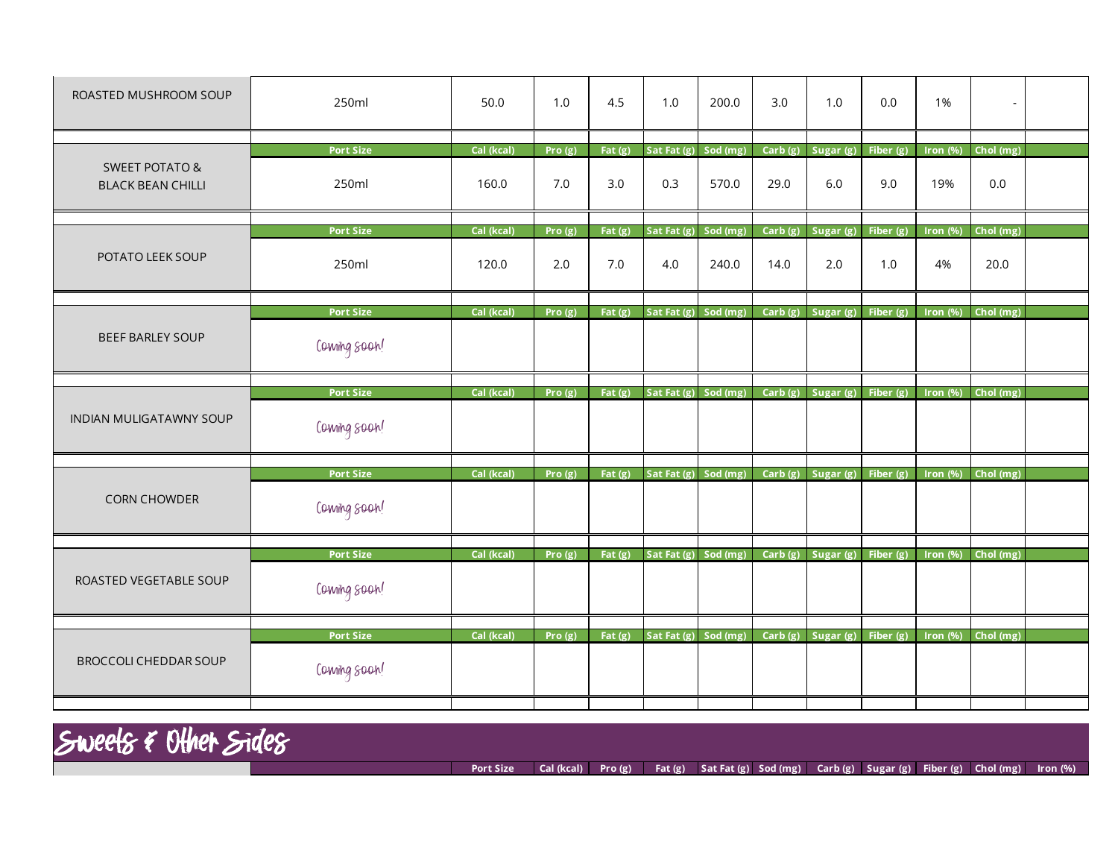| ROASTED MUSHROOM SOUP                                 | 250ml            | 50.0       | 1.0       | 4.5       | 1.0                  | 200.0    | 3.0        | 1.0                                | 0.0         | 1%                    |           |  |
|-------------------------------------------------------|------------------|------------|-----------|-----------|----------------------|----------|------------|------------------------------------|-------------|-----------------------|-----------|--|
|                                                       | <b>Port Size</b> | Cal (kcal) | Pro $(g)$ | Fat $(g)$ | Sat Fat (g) Sod (mg) |          |            | Carb $(g)$ Sugar $(g)$ Fiber $(g)$ |             | Iron $(\%)$           | Chol (mg) |  |
| <b>SWEET POTATO &amp;</b><br><b>BLACK BEAN CHILLI</b> | 250ml            | 160.0      | 7.0       | 3.0       | 0.3                  | 570.0    | 29.0       | 6.0                                | 9.0         | 19%                   | 0.0       |  |
|                                                       | <b>Port Size</b> | Cal (kcal) | Pro $(g)$ | Fat $(g)$ | Sat Fat (g)          | Sod (mg) | Carb(g)    | Sugar (g)                          | Fiber (g)   | Iron $(\%)$           | Chol (mg) |  |
| POTATO LEEK SOUP                                      | 250ml            | 120.0      | 2.0       | 7.0       | 4.0                  | 240.0    | 14.0       | 2.0                                | 1.0         | 4%                    | 20.0      |  |
|                                                       | <b>Port Size</b> | Cal (kcal) | Pro $(g)$ | Fat $(g)$ | Sat Fat (g) Sod (mg) |          |            | Carb (g) Sugar (g)                 | Fiber $(g)$ | Iron $(\%)$           | Chol (mg) |  |
| <b>BEEF BARLEY SOUP</b>                               | Coming soon!     |            |           |           |                      |          |            |                                    |             |                       |           |  |
|                                                       | <b>Port Size</b> | Cal (kcal) | Pro $(g)$ | Fat $(g)$ | Sat Fat (g) Sod (mg) |          |            | Carb $(g)$ Sugar $(g)$ Fiber $(g)$ |             | $Iron (\%)$           | Chol (mg) |  |
| INDIAN MULIGATAWNY SOUP                               | Coming soon!     |            |           |           |                      |          |            |                                    |             |                       |           |  |
|                                                       | <b>Port Size</b> | Cal (kcal) | Pro(g)    | Fat $(g)$ | Sat Fat (g) Sod (mg) |          | Carb(g)    | Sugar (g)                          | Fiber (g)   | Iron $(% )$           | Chol (mg) |  |
| <b>CORN CHOWDER</b>                                   | Coming soon!     |            |           |           |                      |          |            |                                    |             |                       |           |  |
|                                                       | <b>Port Size</b> | Cal (kcal) | Pro(g)    | Fat $(g)$ | Sat Fat (g) Sod (mg) |          |            | Carb (g) Sugar (g) Fiber (g)       |             | $Iron (\%)$           | Chol (mg) |  |
| ROASTED VEGETABLE SOUP                                | Coming soon!     |            |           |           |                      |          |            |                                    |             |                       |           |  |
|                                                       | <b>Port Size</b> | Cal (kcal) | Pro $(g)$ | Fat $(g)$ | Sat Fat (g)          | Sod (mg) | Carb $(g)$ | Sugar (g)                          | Fiber (g)   | Iron $(\frac{96}{6})$ | Chol (mg) |  |
| <b>BROCCOLI CHEDDAR SOUP</b>                          | Coming soon!     |            |           |           |                      |          |            |                                    |             |                       |           |  |



**Port Size Cal (kcal) Pro (g) Fat (g) Sat Fat (g) Sod (mg) Carb (g) Sugar (g) Fiber (g) Chol (mg) Iron (%)**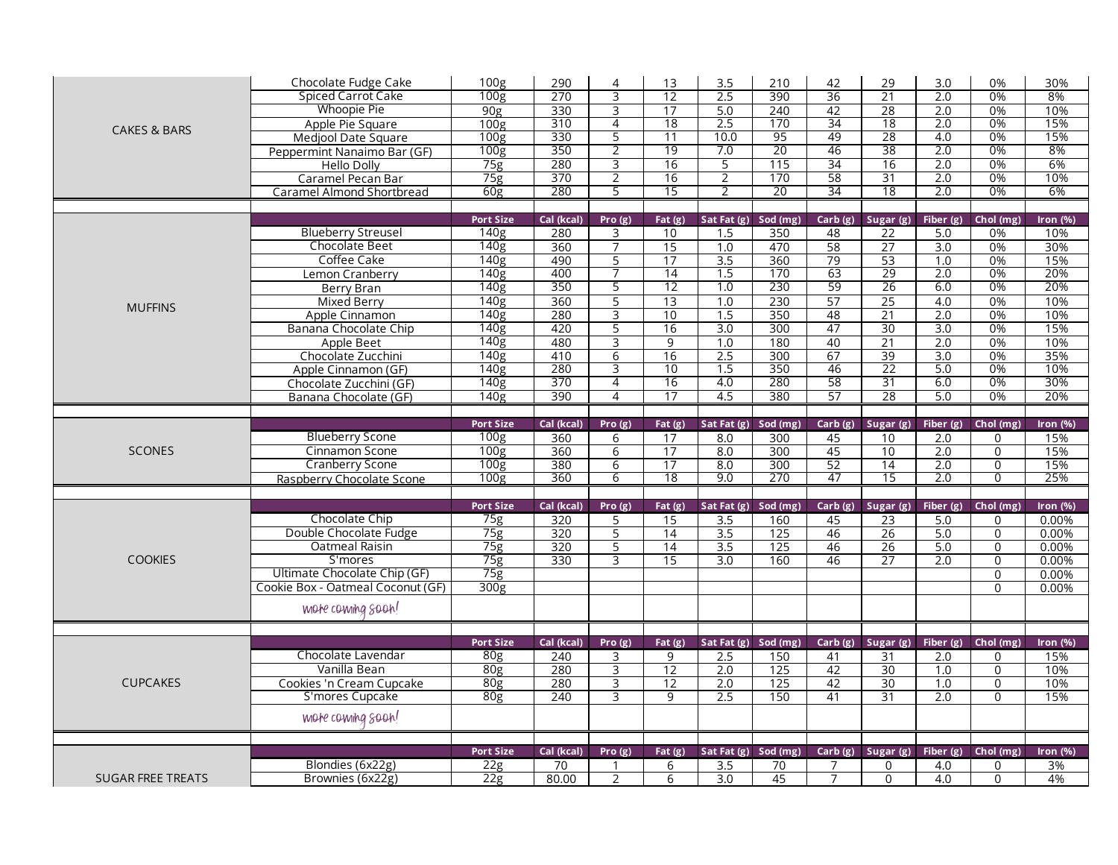|                          | Chocolate Fudge Cake                 | 100 <sub>g</sub>  | 290         | 4               | 13              | 3.5            | 210      | 42       | 29              | 3.0              | 0%                  | 30%         |
|--------------------------|--------------------------------------|-------------------|-------------|-----------------|-----------------|----------------|----------|----------|-----------------|------------------|---------------------|-------------|
|                          | Spiced Carrot Cake                   | 100 <sub>g</sub>  | 270         | 3               | 12              | 2.5            | 390      | 36       | $\overline{21}$ | 2.0              | 0%                  | 8%          |
|                          | <b>Whoopie Pie</b>                   | 90 <sub>g</sub>   | 330         | 3               | 17              | 5.0            | 240      | 42       | 28              | 2.0              | 0%                  | 10%         |
|                          | Apple Pie Square                     | 100 <sub>g</sub>  | 310         | 4               | 18              | 2.5            | 170      | 34       | 18              | 2.0              | 0%                  | 15%         |
| <b>CAKES &amp; BARS</b>  | Medjool Date Square                  | 100 <sub>g</sub>  | 330         | $\overline{5}$  | 11              | 10.0           | 95       | 49       | 28              | 4.0              | 0%                  | 15%         |
|                          | Peppermint Nanaimo Bar (GF)          | 100 <sub>g</sub>  | 350         | $\overline{2}$  | 19              | 7.0            | 20       | 46       | 38              | 2.0              | 0%                  | 8%          |
|                          | <b>Hello Dolly</b>                   | 75g               | 280         | 3               | 16              | $\overline{5}$ | 115      | 34       | 16              | 2.0              | 0%                  | 6%          |
|                          | Caramel Pecan Bar                    | 75g               | 370         | $\overline{2}$  | 16              | $\overline{2}$ | 170      | 58       | 31              | 2.0              | 0%                  | 10%         |
|                          | <b>Caramel Almond Shortbread</b>     | 60 <sub>g</sub>   | 280         | 5               | 15              | $\overline{2}$ | 20       | 34       | $\overline{18}$ | 2.0              | 0%                  | 6%          |
|                          |                                      |                   |             |                 |                 |                |          |          |                 |                  |                     |             |
|                          |                                      | <b>Port Size</b>  | Cal (kcal)  | Pro $(g)$       | Fat $(g)$       | Sat Fat $(g)$  | Sod (mg) | Carb(g)  | Sugar (g)       | Fiber $(g)$      | Chol (mg)           | Iron (%)    |
|                          | <b>Blueberry Streusel</b>            | 140g              | 280         | 3               | 10              | 1.5            | 350      | 48       | 22              | 5.0              | 0%                  | 10%         |
|                          | Chocolate Beet                       | 140 <sub>g</sub>  | 360         | $\overline{7}$  | 15              | 1.0            | 470      | 58       | 27              | 3.0              | 0%                  | 30%         |
|                          | Coffee Cake                          | $\overline{140g}$ | 490         | 5               | 17              | 3.5            | 360      | 79       | 53              | 1.0              | 0%                  | 15%         |
|                          | Lemon Cranberry                      | 140 <sub>g</sub>  | 400         |                 | 14              | 1.5            | 170      | 63       | 29              | 2.0              | 0%                  | 20%         |
|                          | <b>Berry Bran</b>                    | 140 <sub>g</sub>  | 350         | 5               | 12              | 1.0            | 230      | 59       | 26              | 6.0              | 0%                  | 20%         |
|                          | <b>Mixed Berry</b>                   | 140 <sub>g</sub>  | 360         | $\overline{5}$  | 13              | 1.0            | 230      | 57       | 25              | 4.0              | 0%                  | 10%         |
| <b>MUFFINS</b>           | Apple Cinnamon                       | 140 <sub>g</sub>  | 280         | 3               | 10              | 1.5            | 350      | 48       | 21              | 2.0              | 0%                  | 10%         |
|                          | Banana Chocolate Chip                | 140g              | 420         | $\overline{5}$  | 16              | 3.0            | 300      | 47       | 30              | 3.0              | 0%                  | 15%         |
|                          | Apple Beet                           | 140 <sub>g</sub>  | 480         | З               | $\overline{9}$  | 1.0            | 180      | 40       | $\overline{21}$ | 2.0              | 0%                  | 10%         |
|                          | Chocolate Zucchini                   | 140g              | 410         | $\overline{6}$  | 16              | 2.5            | 300      | 67       | 39              | 3.0              | 0%                  | 35%         |
|                          | Apple Cinnamon (GF)                  | 140 <sub>g</sub>  | 280         | 3               | 10              | 1.5            | 350      | 46       | 22              | 5.0              | 0%                  | 10%         |
|                          | Chocolate Zucchini (GF)              | 140 <sub>g</sub>  | 370         | 4               | 16              | 4.0            | 280      | 58       | 31              | 6.0              | 0%                  | 30%         |
|                          | Banana Chocolate (GF)                | 140 <sub>g</sub>  | 390         | $\overline{4}$  | 17              | 4.5            | 380      | 57       | 28              | 5.0              | 0%                  | 20%         |
|                          |                                      |                   |             |                 |                 |                |          |          |                 |                  |                     |             |
|                          |                                      | <b>Port Size</b>  | Cal (kcal)  | Pro $(g)$       | Fat $(g)$       | Sat Fat (g)    | Sod (mg) | Carb(g)  | Sugar (g)       | Fiber (g)        | Chol (mg)           | Iron $(\%)$ |
|                          |                                      |                   |             |                 |                 |                |          |          |                 |                  |                     |             |
|                          | <b>Blueberry Scone</b>               | 100 <sub>g</sub>  | 360         | 6               | 17              | 8.0            | 300      | 45       | 10              | 2.0              | $\Omega$            | 15%         |
| <b>SCONES</b>            | Cinnamon Scone                       | 100g              | 360         | $6\overline{6}$ | $\overline{17}$ | 8.0            | 300      | 45       | 10              | 2.0              | $\overline{0}$      | 15%         |
|                          | <b>Cranberry Scone</b>               | 100 <sub>g</sub>  | 380         | 6               | 17              | 8.0            | 300      |          | 14              | 2.0              | 0                   | 15%         |
|                          | Raspberry Chocolate Scone            | 100g              | 360         | 6               | 18              | 9.0            | 270      | 52<br>47 | 15              | 2.0              | $\overline{0}$      | 25%         |
|                          |                                      |                   |             |                 |                 |                |          |          |                 |                  |                     |             |
|                          |                                      | <b>Port Size</b>  | Cal (kcal)  | Pro $(g)$       | Fat (g)         | Sat Fat $(g)$  | Sod (mg) | Carb(g)  | Sugar (g)       | Fiber $(g)$      | Chol (mg)           | Iron $(\%)$ |
|                          | Chocolate Chip                       | 75g               | 320         | 5               | 15              | 3.5            | 160      | 45       | 23              | 5.0              | $\Omega$            | 0.00%       |
|                          | Double Chocolate Fudge               | 75 <sub>g</sub>   | 320         | $\overline{5}$  | 14              | 3.5            | 125      | 46       | 26              | 5.0              | $\Omega$            | 0.00%       |
|                          | <b>Oatmeal Raisin</b>                | 75g               | 320         | 5               | 14              | 3.5            | 125      | 46       | 26              | 5.0              | $\mathbf 0$         | 0.00%       |
| <b>COOKIES</b>           | S'mores                              | 75g               | 330         | 3               | 15              | 3.0            | 160      | 46       | 27              | 2.0              | $\mathbf 0$         | 0.00%       |
|                          | Ultimate Chocolate Chip (GF)         | 75g               |             |                 |                 |                |          |          |                 |                  | $\mathsf{O}\xspace$ | 0.00%       |
|                          | Cookie Box - Oatmeal Coconut (GF)    | 300 <sub>g</sub>  |             |                 |                 |                |          |          |                 |                  | $\Omega$            | 0.00%       |
|                          |                                      |                   |             |                 |                 |                |          |          |                 |                  |                     |             |
|                          | more coming soon!                    |                   |             |                 |                 |                |          |          |                 |                  |                     |             |
|                          |                                      |                   |             |                 |                 |                |          |          |                 |                  |                     |             |
|                          |                                      | <b>Port Size</b>  | Cal (kcal)  | Pro(g)          | Fat $(g)$       | Sat Fat (g)    | Sod (mg) | Carb (g) | Sugar (g)       | Fiber (g)        | Chol (mg)           | Iron $(\%)$ |
|                          | Chocolate Lavendar                   | 80 <sub>g</sub>   | 240         | 3               | 9               | 2.5            | 150      | 41       | 31              | $\overline{2.0}$ | $\Omega$            | 15%         |
|                          | Vanilla Bean                         | 80 <sub>g</sub>   | 280         | 3               | 12              | 2.0            | 125      | 42       | 30              | 1.0              | $\mathbf 0$         | 10%         |
| <b>CUPCAKES</b>          | Cookies 'n Cream Cupcake             | 80 <sub>g</sub>   | 280         | 3               | 12              | 2.0            | 125      | 42       | 30              | 1.0              | $\overline{0}$      | 10%         |
|                          | S'mores Cupcake                      | 80 <sub>g</sub>   | 240         | 3               | 9               | 2.5            | 150      | 41       | 31              | 2.0              | $\Omega$            | 15%         |
|                          | more coming soon!                    |                   |             |                 |                 |                |          |          |                 |                  |                     |             |
|                          |                                      |                   |             |                 |                 |                |          |          |                 |                  |                     |             |
|                          |                                      | <b>Port Size</b>  | Cal (kcal)  | Pro(g)          | Fat $(g)$       | Sat Fat $(g)$  | Sod (mg) | Carb(g)  | Sugar (g)       | Fiber (g)        | Chol (mg)           | Iron $(\%)$ |
| <b>SUGAR FREE TREATS</b> | Blondies (6x22g)<br>Brownies (6x22g) | 22g<br>22g        | 70<br>80.00 | 2               | 6<br>6          | 3.5<br>3.0     | 70<br>45 |          | $\Omega$<br>0   | 4.0<br>4.0       | 0<br>$\Omega$       | 3%<br>4%    |